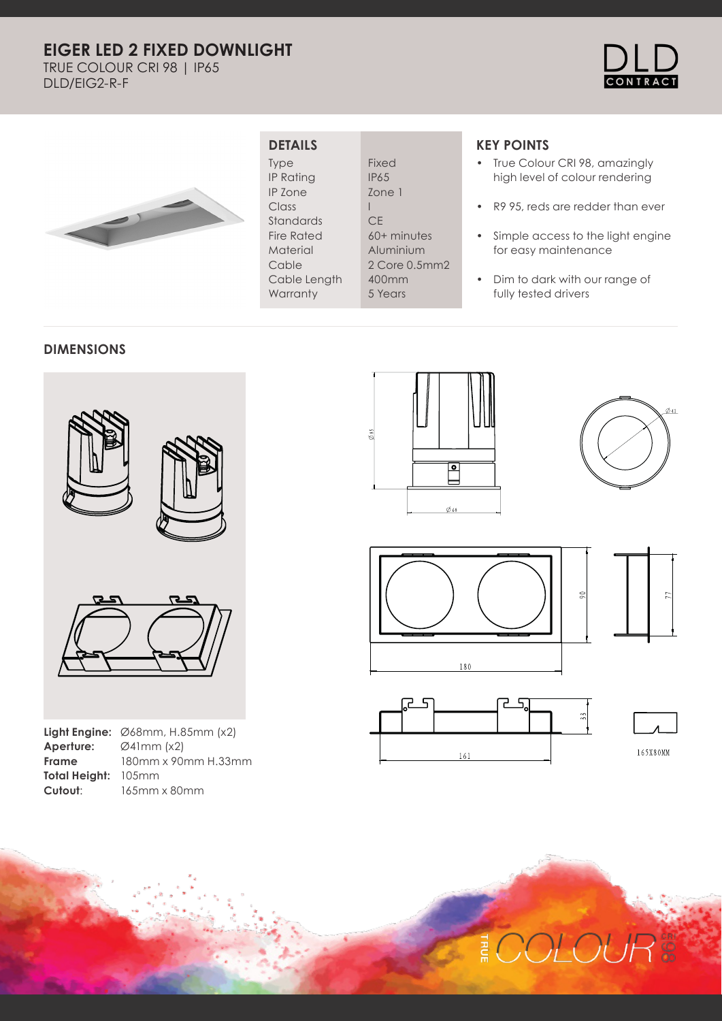# **EIGER LED 2 FIXED DOWNLIGHT**

TRUE COLOUR CRI 98 | IP65 DLD/EIG2-R-F





### **DETAILS**

Type IP Rating IP Zone Class Standards Fire Rated Material Cable Cable Length **Warranty** 

Fixed IP65 Zone 1 **CE** 60+ minutes Aluminium 2 Core 0.5mm2 400mm 5 Years

I

## **KEY POINTS**

- True Colour CRI 98, amazingly high level of colour rendering
- R9 95, reds are redder than ever
- Simple access to the light engine for easy maintenance
- Dim to dark with our range of fully tested drivers

#### **DIMENSIONS**



|                            | <b>Light Engine:</b> $\emptyset$ 68mm, H.85mm (x2) |
|----------------------------|----------------------------------------------------|
| Aperture:                  | $\varnothing$ 41mm (x2)                            |
| <b>Frame</b>               | 180mm x 90mm H.33mm                                |
| <b>Total Height: 105mm</b> |                                                    |
| Cutout:                    | 165mm x 80mm                                       |